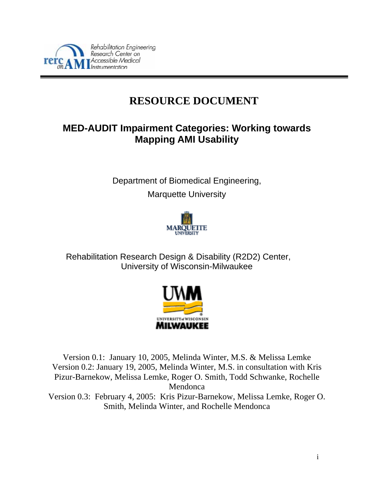

# **RESOURCE DOCUMENT**

# **MED-AUDIT Impairment Categories: Working towards Mapping AMI Usability**

Department of Biomedical Engineering, Marquette University



Rehabilitation Research Design & Disability (R2D2) Center, University of Wisconsin-Milwaukee



Version 0.1: January 10, 2005, Melinda Winter, M.S. & Melissa Lemke Version 0.2: January 19, 2005, Melinda Winter, M.S. in consultation with Kris Pizur-Barnekow, Melissa Lemke, Roger O. Smith, Todd Schwanke, Rochelle Mendonca Version 0.3: February 4, 2005: Kris Pizur-Barnekow, Melissa Lemke, Roger O.

Smith, Melinda Winter, and Rochelle Mendonca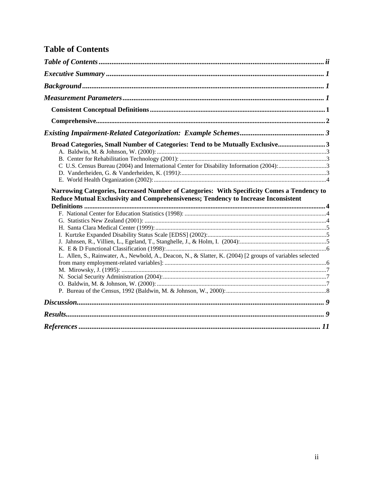# <span id="page-1-0"></span>**Table of Contents**

| Broad Categories, Small Number of Categories: Tend to be Mutually Exclusive3                                                                                                     |  |
|----------------------------------------------------------------------------------------------------------------------------------------------------------------------------------|--|
|                                                                                                                                                                                  |  |
| Narrowing Categories, Increased Number of Categories: With Specificity Comes a Tendency to<br>Reduce Mutual Exclusivity and Comprehensiveness; Tendency to Increase Inconsistent |  |
|                                                                                                                                                                                  |  |
|                                                                                                                                                                                  |  |
|                                                                                                                                                                                  |  |
|                                                                                                                                                                                  |  |
|                                                                                                                                                                                  |  |
| L. Allen, S., Rainwater, A., Newbold, A., Deacon, N., & Slatter, K. (2004) [2 groups of variables selected                                                                       |  |
|                                                                                                                                                                                  |  |
|                                                                                                                                                                                  |  |
|                                                                                                                                                                                  |  |
|                                                                                                                                                                                  |  |
|                                                                                                                                                                                  |  |
|                                                                                                                                                                                  |  |
|                                                                                                                                                                                  |  |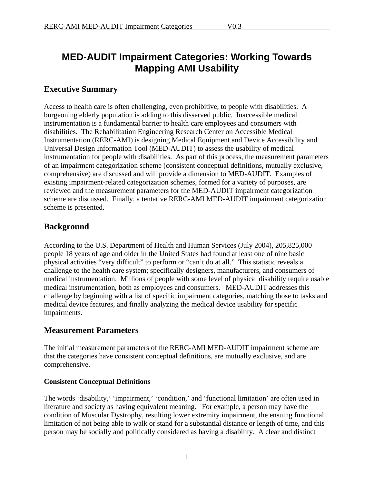# <span id="page-2-0"></span>**MED-AUDIT Impairment Categories: Working Towards Mapping AMI Usability**

## **Executive Summary**

Access to health care is often challenging, even prohibitive, to people with disabilities. A burgeoning elderly population is adding to this disserved public. Inaccessible medical instrumentation is a fundamental barrier to health care employees and consumers with disabilities. The Rehabilitation Engineering Research Center on Accessible Medical Instrumentation (RERC-AMI) is designing Medical Equipment and Device Accessibility and Universal Design Information Tool (MED-AUDIT) to assess the usability of medical instrumentation for people with disabilities. As part of this process, the measurement parameters of an impairment categorization scheme (consistent conceptual definitions, mutually exclusive, comprehensive) are discussed and will provide a dimension to MED-AUDIT. Examples of existing impairment-related categorization schemes, formed for a variety of purposes, are reviewed and the measurement parameters for the MED-AUDIT impairment categorization scheme are discussed. Finally, a tentative RERC-AMI MED-AUDIT impairment categorization scheme is presented.

# **Background**

According to the U.S. Department of Health and Human Services (July 2004), 205,825,000 people 18 years of age and older in the United States had found at least one of nine basic physical activities "very difficult" to perform or "can't do at all." This statistic reveals a challenge to the health care system; specifically designers, manufacturers, and consumers of medical instrumentation. Millions of people with some level of physical disability require usable medical instrumentation, both as employees and consumers. MED-AUDIT addresses this challenge by beginning with a list of specific impairment categories, matching those to tasks and medical device features, and finally analyzing the medical device usability for specific impairments.

# **Measurement Parameters**

The initial measurement parameters of the RERC-AMI MED-AUDIT impairment scheme are that the categories have consistent conceptual definitions, are mutually exclusive, and are comprehensive.

### **Consistent Conceptual Definitions**

The words 'disability,' 'impairment,' 'condition,' and 'functional limitation' are often used in literature and society as having equivalent meaning. For example, a person may have the condition of Muscular Dystrophy, resulting lower extremity impairment, the ensuing functional limitation of not being able to walk or stand for a substantial distance or length of time, and this person may be socially and politically considered as having a disability. A clear and distinct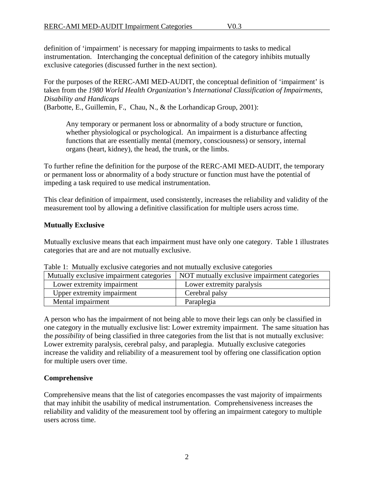<span id="page-3-0"></span>definition of 'impairment' is necessary for mapping impairments to tasks to medical instrumentation. Interchanging the conceptual definition of the category inhibits mutually exclusive categories (discussed further in the next section).

For the purposes of the RERC-AMI MED-AUDIT, the conceptual definition of 'impairment' is taken from the *1980 World Health Organization's International Classification of Impairments, Disability and Handicaps*

(Barbotte, E., Guillemin, F., Chau, N., & the Lorhandicap Group, 2001):

Any temporary or permanent loss or abnormality of a body structure or function, whether physiological or psychological. An impairment is a disturbance affecting functions that are essentially mental (memory, consciousness) or sensory, internal organs (heart, kidney), the head, the trunk, or the limbs.

To further refine the definition for the purpose of the RERC-AMI MED-AUDIT, the temporary or permanent loss or abnormality of a body structure or function must have the potential of impeding a task required to use medical instrumentation.

This clear definition of impairment, used consistently, increases the reliability and validity of the measurement tool by allowing a definitive classification for multiple users across time.

#### **Mutually Exclusive**

Mutually exclusive means that each impairment must have only one category. Table 1 illustrates categories that are and are not mutually exclusive.

| Mutually exclusive impairment categories | NOT mutually exclusive impairment categories |
|------------------------------------------|----------------------------------------------|
| Lower extremity impairment               | Lower extremity paralysis                    |
| Upper extremity impairment               | Cerebral palsy                               |
| Mental impairment                        | Paraplegia                                   |

Table 1: Mutually exclusive categories and not mutually exclusive categories

A person who has the impairment of not being able to move their legs can only be classified in one category in the mutually exclusive list: Lower extremity impairment. The same situation has the *possibility* of being classified in three categories from the list that is not mutually exclusive: Lower extremity paralysis, cerebral palsy, and paraplegia. Mutually exclusive categories increase the validity and reliability of a measurement tool by offering one classification option for multiple users over time.

### **Comprehensive**

Comprehensive means that the list of categories encompasses the vast majority of impairments that may inhibit the usability of medical instrumentation. Comprehensiveness increases the reliability and validity of the measurement tool by offering an impairment category to multiple users across time.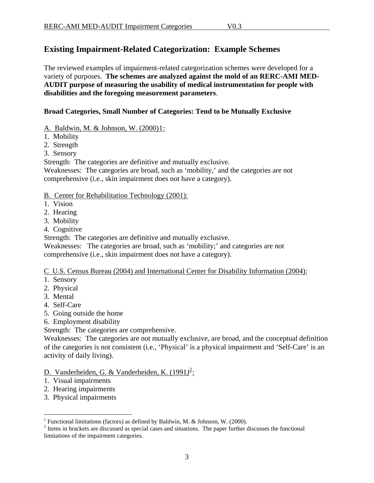# <span id="page-4-0"></span>**Existing Impairment-Related Categorization: Example Schemes**

The reviewed examples of impairment-related categorization schemes were developed for a variety of purposes. **The schemes are analyzed against the mold of an RERC-AMI MED-AUDIT purpose of measuring the usability of medical instrumentation for people with disabilities and the foregoing measurement parameters**.

#### **Broad Categories, Small Number of Categories: Tend to be Mutually Exclusive**

- A. Baldwin, M. & Johnson, W. (2000)[1](#page-4-1):
- 1. Mobility
- 2. Strength
- 3. Sensory

Strength: The categories are definitive and mutually exclusive.

Weaknesses: The categories are broad, such as 'mobility,' and the categories are not comprehensive (i.e., skin impairment does not have a category).

#### B. Center for Rehabilitation Technology (2001):

- 1. Vision
- 2. Hearing
- 3. Mobility
- 4. Cognitive

Strength: The categories are definitive and mutually exclusive.

Weaknesses: The categories are broad, such as 'mobility;' and categories are not comprehensive (i.e., skin impairment does not have a category).

C U.S. Census Bureau (2004) and International Center for Disability Information (2004):

- 1. Sensory
- 2. Physical
- 3. Mental
- 4. Self-Care
- 5. Going outside the home
- 6. Employment disability

Strength: The categories are comprehensive.

Weaknesses: The categories are not mutually exclusive, are broad, and the conceptual definition of the categories is not consistent (i.e., 'Physical' is a physical impairment and 'Self-Care' is an activity of daily living).

## D. Vanderheiden, G. & Vanderheiden, K. (1991*)* [2](#page-4-2) :

- 1. Visual impairments
- 2. Hearing impairments

 $\overline{a}$ 

3. Physical impairments

<sup>&</sup>lt;sup>1</sup> Functional limitations (factors) as defined by Baldwin, M. & Johnson, W. (2000).

<span id="page-4-2"></span><span id="page-4-1"></span><sup>&</sup>lt;sup>2</sup> Items in brackets are discussed as special cases and situations. The paper further discusses the functional limitations of the impairment categories.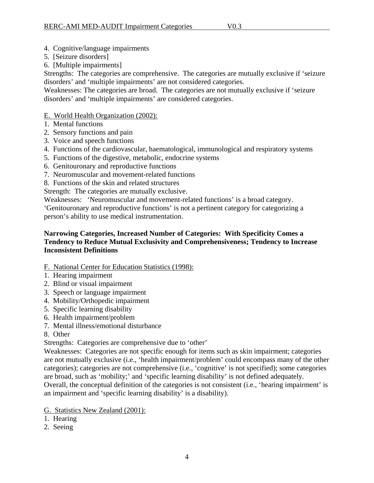#### <span id="page-5-0"></span>4. Cognitive/language impairments

- 5. [Seizure disorders]
- 6. [Multiple impairments]

Strengths:The categories are comprehensive. The categories are mutually exclusive if 'seizure disorders' and 'multiple impairments' are not considered categories.

Weaknesses: The categories are broad. The categories are not mutually exclusive if 'seizure disorders' and 'multiple impairments' are considered categories.

#### E. World Health Organization (2002):

- 1. Mental functions
- 2. Sensory functions and pain
- 3. Voice and speech functions
- 4. Functions of the cardiovascular, haematological, immunological and respiratory systems
- 5. Functions of the digestive, metabolic, endocrine systems
- 6. Genitouronary and reproductive functions
- 7. Neuromuscular and movement-related functions
- 8. Functions of the skin and related structures

Strength: The categories are mutually exclusive.

Weaknesses: 'Neuromuscular and movement-related functions' is a broad category.

'Genitouronary and reproductive functions' is not a pertinent category for categorizing a person's ability to use medical instrumentation.

#### **Narrowing Categories, Increased Number of Categories: With Specificity Comes a Tendency to Reduce Mutual Exclusivity and Comprehensiveness; Tendency to Increase Inconsistent Definitions**

- F. National Center for Education Statistics (1998):
- 1. Hearing impairment
- 2. Blind or visual impairment
- 3. Speech or language impairment
- 4. Mobility/Orthopedic impairment
- 5. Specific learning disability
- 6. Health impairment/problem
- 7. Mental illness/emotional disturbance
- 8. Other

Strengths: Categories are comprehensive due to 'other'

Weaknesses: Categories are not specific enough for items such as skin impairment; categories are not mutually exclusive (i.e., 'health impairment/problem' could encompass many of the other categories); categories are not comprehensive (i.e., 'cognitive' is not specified); some categories are broad, such as 'mobility;' and 'specific learning disability' is not defined adequately.

Overall, the conceptual definition of the categories is not consistent (i.e., 'hearing impairment' is an impairment and 'specific learning disability' is a disability).

- G. Statistics New Zealand (2001):
- 1. Hearing
- 2. Seeing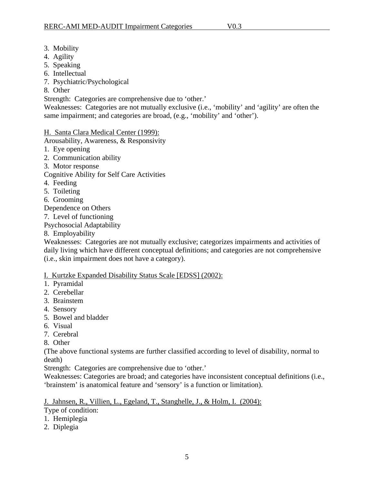- <span id="page-6-0"></span>3. Mobility
- 4. Agility
- 5. Speaking
- 6. Intellectual
- 7. Psychiatric/Psychological
- 8. Other
- Strength: Categories are comprehensive due to 'other.'

Weaknesses: Categories are not mutually exclusive (i.e., 'mobility' and 'agility' are often the same impairment; and categories are broad, (e.g., 'mobility' and 'other').

H. Santa Clara Medical Center (1999):

Arousability, Awareness, & Responsivity

- 1. Eye opening
- 2. Communication ability
- 3. Motor response

Cognitive Ability for Self Care Activities

- 4. Feeding
- 5. Toileting
- 6. Grooming

Dependence on Others

7. Level of functioning

Psychosocial Adaptability

8. Employability

Weaknesses: Categories are not mutually exclusive; categorizes impairments and activities of daily living which have different conceptual definitions; and categories are not comprehensive (i.e., skin impairment does not have a category).

### I. Kurtzke Expanded Disability Status Scale [EDSS] (2002):

- 1. Pyramidal
- 2. Cerebellar
- 3. Brainstem
- 4. Sensory
- 5. Bowel and bladder
- 6. Visual
- 7. Cerebral
- 8. Other

(The above functional systems are further classified according to level of disability, normal to death)

Strength: Categories are comprehensive due to 'other.'

Weaknesses: Categories are broad; and categories have inconsistent conceptual definitions (i.e., 'brainstem' is anatomical feature and 'sensory' is a function or limitation).

J. Jahnsen, R., Villien, L., Egeland, T., Stanghelle, J., & Holm, I. (2004):

- Type of condition:
- 1. Hemiplegia
- 2. Diplegia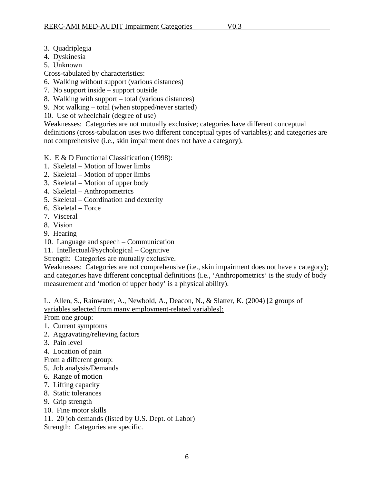- <span id="page-7-0"></span>3. Quadriplegia
- 4. Dyskinesia
- 5. Unknown
- Cross-tabulated by characteristics:
- 6. Walking without support (various distances)
- 7. No support inside support outside
- 8. Walking with support total (various distances)
- 9. Not walking total (when stopped/never started)
- 10. Use of wheelchair (degree of use)

Weaknesses: Categories are not mutually exclusive; categories have different conceptual definitions (cross-tabulation uses two different conceptual types of variables); and categories are not comprehensive (i.e., skin impairment does not have a category).

- K. E & D Functional Classification (1998):
- 1. Skeletal Motion of lower limbs
- 2. Skeletal Motion of upper limbs
- 3. Skeletal Motion of upper body
- 4. Skeletal Anthropometrics
- 5. Skeletal Coordination and dexterity
- 6. Skeletal Force
- 7. Visceral
- 8. Vision
- 9. Hearing
- 10. Language and speech Communication
- 11. Intellectual/Psychological Cognitive
- Strength: Categories are mutually exclusive.

Weaknesses: Categories are not comprehensive (i.e., skin impairment does not have a category); and categories have different conceptual definitions (i.e., 'Anthropometrics' is the study of body measurement and 'motion of upper body' is a physical ability).

L. Allen, S., Rainwater, A., Newbold, A., Deacon, N., & Slatter, K. (2004) [2 groups of variables selected from many employment-related variables]:

From one group:

- 1. Current symptoms
- 2. Aggravating/relieving factors
- 3. Pain level
- 4. Location of pain
- From a different group:
- 5. Job analysis/Demands
- 6. Range of motion
- 7. Lifting capacity
- 8. Static tolerances
- 9. Grip strength
- 10. Fine motor skills
- 11. 20 job demands (listed by U.S. Dept. of Labor)

Strength: Categories are specific.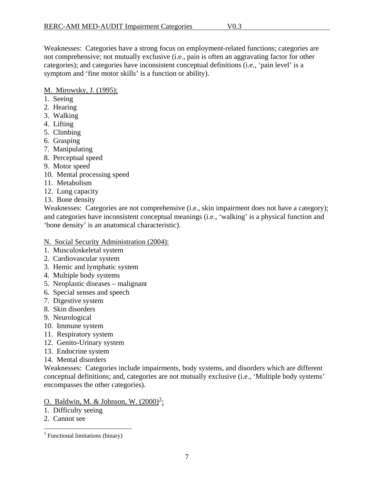<span id="page-8-0"></span>Weaknesses: Categories have a strong focus on employment-related functions; categories are not comprehensive; not mutually exclusive (i.e., pain is often an aggravating factor for other categories); and categories have inconsistent conceptual definitions (i.e., 'pain level' is a symptom and 'fine motor skills' is a function or ability).

### M. Mirowsky, J. (1995):

- 1. Seeing
- 2. Hearing
- 3. Walking
- 4. Lifting
- 5. Climbing
- 6. Grasping
- 7. Manipulating
- 8. Perceptual speed
- 9. Motor speed
- 10. Mental processing speed
- 11. Metabolism
- 12. Lung capacity
- 13. Bone density

Weaknesses: Categories are not comprehensive (i.e., skin impairment does not have a category); and categories have inconsistent conceptual meanings (i.e., 'walking' is a physical function and 'bone density' is an anatomical characteristic).

#### N. Social Security Administration (2004):

- 1. Musculoskeletal system
- 2. Cardiovascular system
- 3. Hemic and lymphatic system
- 4. Multiple body systems
- 5. Neoplastic diseases malignant
- 6. Special senses and speech
- 7. Digestive system
- 8. Skin disorders
- 9. Neurological
- 10. Immune system
- 11. Respiratory system
- 12. Genito-Urinary system
- 13. Endocrine system
- 14. Mental disorders

Weaknesses: Categories include impairments, body systems, and disorders which are different conceptual definitions; and, categories are not mutually exclusive (i.e., 'Multiple body systems' encompasses the other categories).

O. Baldwin, M. & Johnson, W. (2000)<sup>[3](#page-8-1)</sup>:

- 1. Difficulty seeing
- 2. Cannot see

 $\overline{a}$ 

<span id="page-8-1"></span><sup>&</sup>lt;sup>3</sup> Functional limitations (binary)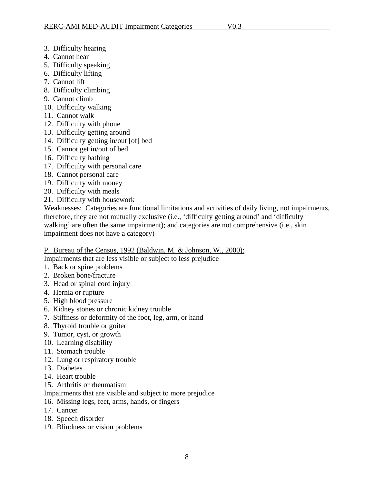- <span id="page-9-0"></span>3. Difficulty hearing
- 4. Cannot hear
- 5. Difficulty speaking
- 6. Difficulty lifting
- 7. Cannot lift
- 8. Difficulty climbing
- 9. Cannot climb
- 10. Difficulty walking
- 11. Cannot walk
- 12. Difficulty with phone
- 13. Difficulty getting around
- 14. Difficulty getting in/out [of] bed
- 15. Cannot get in/out of bed
- 16. Difficulty bathing
- 17. Difficulty with personal care
- 18. Cannot personal care
- 19. Difficulty with money
- 20. Difficulty with meals
- 21. Difficulty with housework

Weaknesses: Categories are functional limitations and activities of daily living, not impairments, therefore, they are not mutually exclusive (i.e., 'difficulty getting around' and 'difficulty walking' are often the same impairment); and categories are not comprehensive (i.e., skin impairment does not have a category)

#### P. Bureau of the Census, 1992 (Baldwin, M. & Johnson, W., 2000):

Impairments that are less visible or subject to less prejudice

- 1. Back or spine problems
- 2. Broken bone/fracture
- 3. Head or spinal cord injury
- 4. Hernia or rupture
- 5. High blood pressure
- 6. Kidney stones or chronic kidney trouble
- 7. Stiffness or deformity of the foot, leg, arm, or hand
- 8. Thyroid trouble or goiter
- 9. Tumor, cyst, or growth
- 10. Learning disability
- 11. Stomach trouble
- 12. Lung or respiratory trouble
- 13. Diabetes
- 14. Heart trouble
- 15. Arthritis or rheumatism

Impairments that are visible and subject to more prejudice

- 16. Missing legs, feet, arms, hands, or fingers
- 17. Cancer
- 18. Speech disorder
- 19. Blindness or vision problems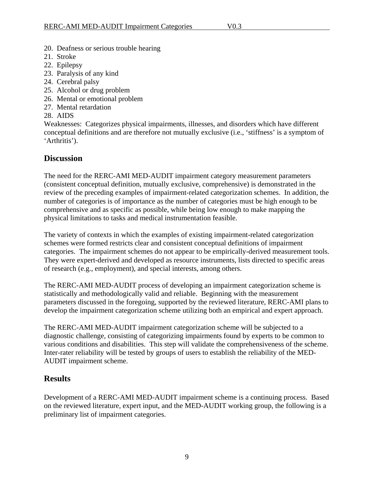- <span id="page-10-0"></span>20. Deafness or serious trouble hearing
- 21. Stroke
- 22. Epilepsy
- 23. Paralysis of any kind
- 24. Cerebral palsy
- 25. Alcohol or drug problem
- 26. Mental or emotional problem
- 27. Mental retardation
- 28. AIDS

Weaknesses: Categorizes physical impairments, illnesses, and disorders which have different conceptual definitions and are therefore not mutually exclusive (i.e., 'stiffness' is a symptom of 'Arthritis').

# **Discussion**

The need for the RERC-AMI MED-AUDIT impairment category measurement parameters (consistent conceptual definition, mutually exclusive, comprehensive) is demonstrated in the review of the preceding examples of impairment-related categorization schemes. In addition, the number of categories is of importance as the number of categories must be high enough to be comprehensive and as specific as possible, while being low enough to make mapping the physical limitations to tasks and medical instrumentation feasible.

The variety of contexts in which the examples of existing impairment-related categorization schemes were formed restricts clear and consistent conceptual definitions of impairment categories. The impairment schemes do not appear to be empirically-derived measurement tools. They were expert-derived and developed as resource instruments, lists directed to specific areas of research (e.g., employment), and special interests, among others.

The RERC-AMI MED-AUDIT process of developing an impairment categorization scheme is statistically and methodologically valid and reliable. Beginning with the measurement parameters discussed in the foregoing, supported by the reviewed literature, RERC-AMI plans to develop the impairment categorization scheme utilizing both an empirical and expert approach.

The RERC-AMI MED-AUDIT impairment categorization scheme will be subjected to a diagnostic challenge, consisting of categorizing impairments found by experts to be common to various conditions and disabilities. This step will validate the comprehensiveness of the scheme. Inter-rater reliability will be tested by groups of users to establish the reliability of the MED-AUDIT impairment scheme.

# **Results**

Development of a RERC-AMI MED-AUDIT impairment scheme is a continuing process. Based on the reviewed literature, expert input, and the MED-AUDIT working group, the following is a preliminary list of impairment categories.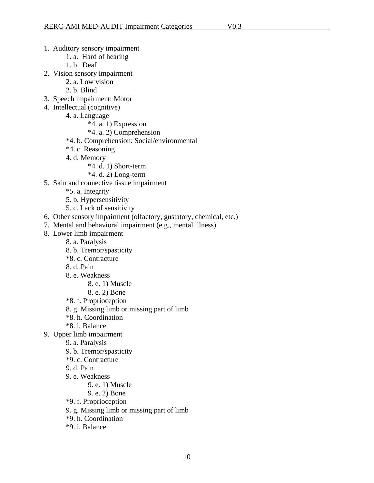#### 1. Auditory sensory impairment

- 1. a. Hard of hearing
- 1. b. Deaf
- 2. Vision sensory impairment
	- 2. a. Low vision
	- 2. b. Blind
- 3. Speech impairment: Motor
- 4. Intellectual (cognitive)
	- 4. a. Language
		- \*4. a. 1) Expression
		- \*4. a. 2) Comprehension
	- \*4. b. Comprehension: Social/environmental
	- \*4. c. Reasoning
	- 4. d. Memory
		- \*4. d. 1) Short-term
		- $*4. d. 2) Long-term$
- 5. Skin and connective tissue impairment
	- \*5. a. Integrity
	- 5. b. Hypersensitivity
	- 5. c. Lack of sensitivity
- 6. Other sensory impairment (olfactory, gustatory, chemical, etc.)
- 7. Mental and behavioral impairment (e.g., mental illness)
- 8. Lower limb impairment
	- 8. a. Paralysis
	- 8. b. Tremor/spasticity
	- \*8. c. Contracture
	- 8. d. Pain
	- 8. e. Weakness
		- 8. e. 1) Muscle
		- 8. e. 2) Bone
	- \*8. f. Proprioception
	- 8. g. Missing limb or missing part of limb
	- \*8. h. Coordination
	- \*8. i. Balance
- 9. Upper limb impairment
	- 9. a. Paralysis
	- 9. b. Tremor/spasticity
	- \*9. c. Contracture
	- 9. d. Pain
	- 9. e. Weakness
		- 9. e. 1) Muscle
		- 9. e. 2) Bone
	- \*9. f. Proprioception
	- 9. g. Missing limb or missing part of limb
	- \*9. h. Coordination
	- \*9. i. Balance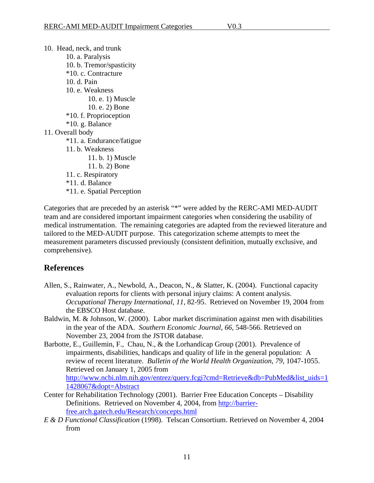<span id="page-12-0"></span>10. Head, neck, and trunk 10. a. Paralysis 10. b. Tremor/spasticity \*10. c. Contracture 10. d. Pain 10. e. Weakness 10. e. 1) Muscle 10. e. 2) Bone \*10. f. Proprioception \*10. g. Balance 11. Overall body \*11. a. Endurance/fatigue 11. b. Weakness 11. b. 1) Muscle 11. b. 2) Bone 11. c. Respiratory \*11. d. Balance \*11. e. Spatial Perception

Categories that are preceded by an asterisk "\*" were added by the RERC-AMI MED-AUDIT team and are considered important impairment categories when considering the usability of medical instrumentation. The remaining categories are adapted from the reviewed literature and tailored to the MED-AUDIT purpose. This categorization scheme attempts to meet the measurement parameters discussed previously (consistent definition, mutually exclusive, and comprehensive).

## **References**

- Allen, S., Rainwater, A., Newbold, A., Deacon, N., & Slatter, K. (2004). Functional capacity evaluation reports for clients with personal injury claims: A content analysis. *Occupational Therapy International, 11,* 82-95. Retrieved on November 19, 2004 from the EBSCO Host database.
- Baldwin, M. & Johnson, W. (2000). Labor market discrimination against men with disabilities in the year of the ADA. *Southern Economic Journal, 66*, 548-566. Retrieved on November 23, 2004 from the JSTOR database.
- Barbotte, E., Guillemin, F., Chau, N., & the Lorhandicap Group (2001). Prevalence of impairments, disabilities, handicaps and quality of life in the general population: A review of recent literature. *Bulletin of the World Health Organization, 79,* 1047-1055. Retrieved on January 1, 2005 from [http://www.ncbi.nlm.nih.gov/entrez/query.fcgi?cmd=Retrieve&db=PubMed&list\\_uids=1](http://www.ncbi.nlm.nih.gov/entrez/query.fcgi?cmd=Retrieve&db=PubMed&list_uids=11428067&dopt=Abstract) [1428067&dopt=Abstract](http://www.ncbi.nlm.nih.gov/entrez/query.fcgi?cmd=Retrieve&db=PubMed&list_uids=11428067&dopt=Abstract)
- Center for Rehabilitation Technology (2001). Barrier Free Education Concepts Disability Definitions. Retrieved on November 4, 2004, from [http://barrier](http://barrier-free.arch.gatech.edu/Research/concepts.html)[free.arch.gatech.edu/Research/concepts.html](http://barrier-free.arch.gatech.edu/Research/concepts.html)
- *E & D Functional Classification* (1998). Telscan Consortium. Retrieved on November 4, 2004 from